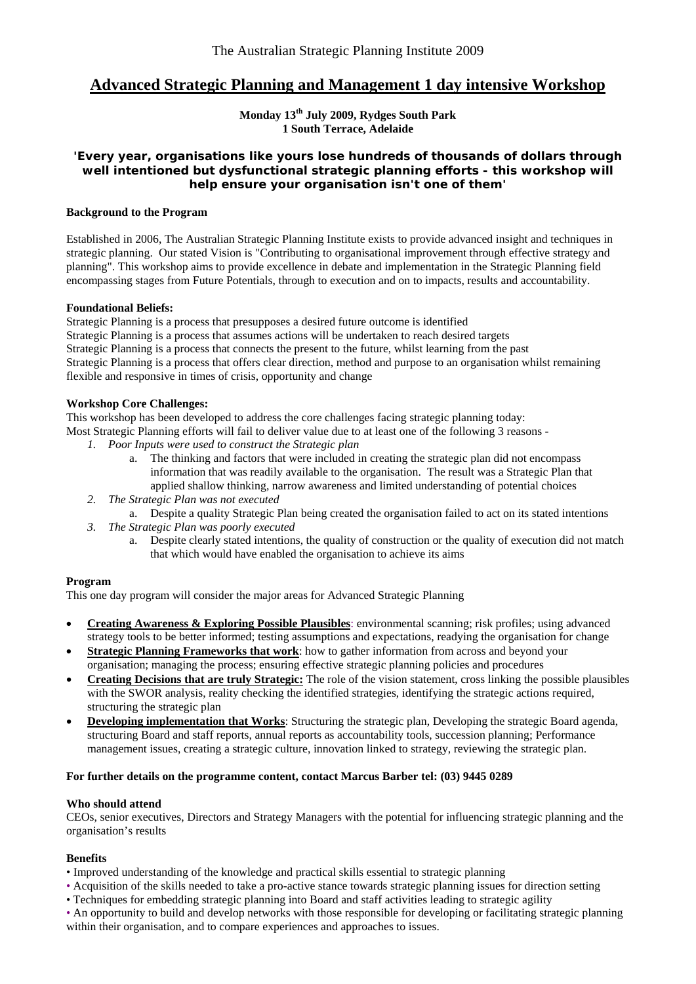# **Advanced Strategic Planning and Management 1 day intensive Workshop**

**Monday 13th July 2009, Rydges South Park 1 South Terrace, Adelaide** 

#### **'Every year, organisations like yours lose hundreds of thousands of dollars through well intentioned but dysfunctional strategic planning efforts - this workshop will help ensure your organisation isn't one of them'**

#### **Background to the Program**

Established in 2006, The Australian Strategic Planning Institute exists to provide advanced insight and techniques in strategic planning. Our stated Vision is "Contributing to organisational improvement through effective strategy and planning". This workshop aims to provide excellence in debate and implementation in the Strategic Planning field encompassing stages from Future Potentials, through to execution and on to impacts, results and accountability.

#### **Foundational Beliefs:**

Strategic Planning is a process that presupposes a desired future outcome is identified Strategic Planning is a process that assumes actions will be undertaken to reach desired targets Strategic Planning is a process that connects the present to the future, whilst learning from the past Strategic Planning is a process that offers clear direction, method and purpose to an organisation whilst remaining flexible and responsive in times of crisis, opportunity and change

#### **Workshop Core Challenges:**

This workshop has been developed to address the core challenges facing strategic planning today: Most Strategic Planning efforts will fail to deliver value due to at least one of the following 3 reasons -

- *1. Poor Inputs were used to construct the Strategic plan* 
	- a. The thinking and factors that were included in creating the strategic plan did not encompass information that was readily available to the organisation. The result was a Strategic Plan that applied shallow thinking, narrow awareness and limited understanding of potential choices
- *2. The Strategic Plan was not executed*
- a. Despite a quality Strategic Plan being created the organisation failed to act on its stated intentions
- *3. The Strategic Plan was poorly executed* 
	- a. Despite clearly stated intentions, the quality of construction or the quality of execution did not match that which would have enabled the organisation to achieve its aims

#### **Program**

This one day program will consider the major areas for Advanced Strategic Planning

- **Creating Awareness & Exploring Possible Plausibles**: environmental scanning; risk profiles; using advanced strategy tools to be better informed; testing assumptions and expectations, readying the organisation for change
- **Strategic Planning Frameworks that work**: how to gather information from across and beyond your organisation; managing the process; ensuring effective strategic planning policies and procedures
- **Creating Decisions that are truly Strategic:** The role of the vision statement, cross linking the possible plausibles with the SWOR analysis, reality checking the identified strategies, identifying the strategic actions required, structuring the strategic plan
- **Developing implementation that Works**: Structuring the strategic plan, Developing the strategic Board agenda, structuring Board and staff reports, annual reports as accountability tools, succession planning; Performance management issues, creating a strategic culture, innovation linked to strategy, reviewing the strategic plan.

### **For further details on the programme content, contact Marcus Barber tel: (03) 9445 0289**

#### **Who should attend**

CEOs, senior executives, Directors and Strategy Managers with the potential for influencing strategic planning and the organisation's results

#### **Benefits**

- Improved understanding of the knowledge and practical skills essential to strategic planning
- Acquisition of the skills needed to take a pro-active stance towards strategic planning issues for direction setting
- Techniques for embedding strategic planning into Board and staff activities leading to strategic agility
- An opportunity to build and develop networks with those responsible for developing or facilitating strategic planning within their organisation, and to compare experiences and approaches to issues.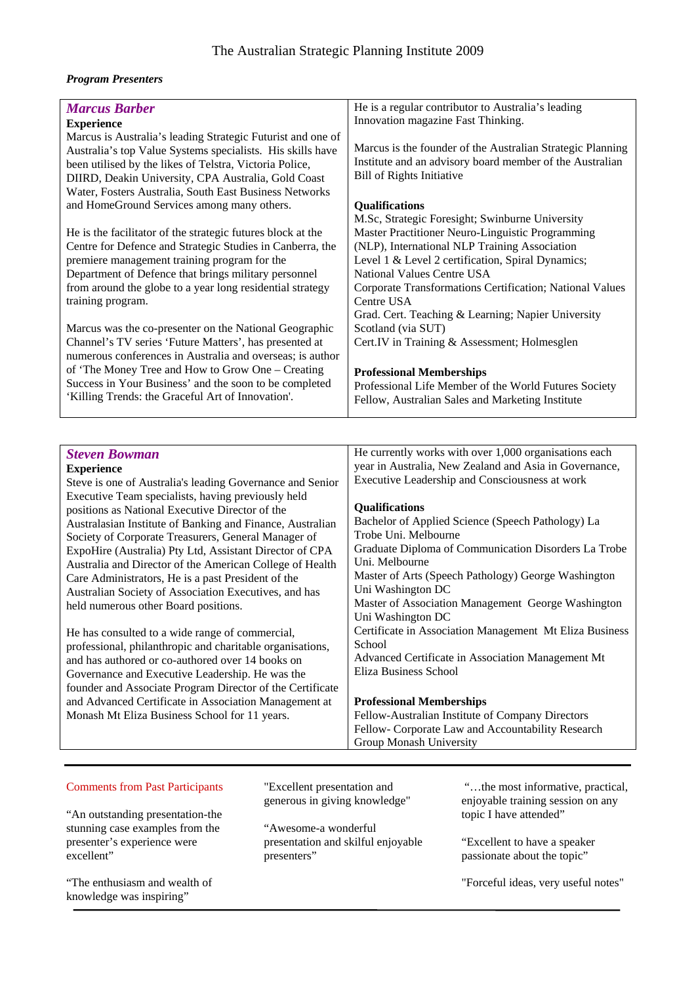#### *Program Presenters*

| <b>Marcus Barber</b>                                                                                                | He is a regular contributor to Australia's leading         |
|---------------------------------------------------------------------------------------------------------------------|------------------------------------------------------------|
| <b>Experience</b>                                                                                                   | Innovation magazine Fast Thinking.                         |
| Marcus is Australia's leading Strategic Futurist and one of                                                         |                                                            |
| Australia's top Value Systems specialists. His skills have                                                          | Marcus is the founder of the Australian Strategic Planning |
| been utilised by the likes of Telstra, Victoria Police,                                                             | Institute and an advisory board member of the Australian   |
| DIIRD, Deakin University, CPA Australia, Gold Coast                                                                 | <b>Bill of Rights Initiative</b>                           |
| Water, Fosters Australia, South East Business Networks                                                              |                                                            |
| and HomeGround Services among many others.                                                                          | Qualifications                                             |
|                                                                                                                     | M.Sc, Strategic Foresight; Swinburne University            |
| He is the facilitator of the strategic futures block at the                                                         | Master Practitioner Neuro-Linguistic Programming           |
| Centre for Defence and Strategic Studies in Canberra, the                                                           | (NLP), International NLP Training Association              |
| premiere management training program for the                                                                        | Level 1 & Level 2 certification, Spiral Dynamics;          |
| Department of Defence that brings military personnel                                                                | National Values Centre USA                                 |
| from around the globe to a year long residential strategy                                                           | Corporate Transformations Certification; National Values   |
| training program.                                                                                                   | Centre USA                                                 |
|                                                                                                                     | Grad. Cert. Teaching & Learning; Napier University         |
| Marcus was the co-presenter on the National Geographic                                                              | Scotland (via SUT)                                         |
| Channel's TV series 'Future Matters', has presented at                                                              | Cert.IV in Training & Assessment; Holmesglen               |
| numerous conferences in Australia and overseas; is author                                                           |                                                            |
| of 'The Money Tree and How to Grow One - Creating                                                                   | <b>Professional Memberships</b>                            |
| Success in Your Business' and the soon to be completed                                                              | Professional Life Member of the World Futures Society      |
| 'Killing Trends: the Graceful Art of Innovation'.                                                                   | Fellow, Australian Sales and Marketing Institute           |
|                                                                                                                     |                                                            |
|                                                                                                                     |                                                            |
|                                                                                                                     |                                                            |
| <b>Steven Bowman</b>                                                                                                | He currently works with over 1,000 organisations each      |
|                                                                                                                     | year in Australia, New Zealand and Asia in Governance,     |
| <b>Experience</b>                                                                                                   | Executive Leadership and Consciousness at work             |
| Steve is one of Australia's leading Governance and Senior                                                           |                                                            |
| Executive Team specialists, having previously held                                                                  | Qualifications                                             |
| positions as National Executive Director of the                                                                     | Bachelor of Applied Science (Speech Pathology) La          |
| Australasian Institute of Banking and Finance, Australian                                                           | Trobe Uni. Melbourne                                       |
| Society of Corporate Treasurers, General Manager of                                                                 | Graduate Diploma of Communication Disorders La Trobe       |
| ExpoHire (Australia) Pty Ltd, Assistant Director of CPA<br>Australia and Director of the American College of Health | Uni. Melbourne                                             |
|                                                                                                                     | Master of Arts (Speech Pathology) George Washington        |
| Care Administrators, He is a past President of the<br>Australian Society of Association Executives, and has         | Uni Washington DC                                          |
| held numerous other Board positions.                                                                                | Master of Association Management George Washington         |
|                                                                                                                     | Uni Washington DC                                          |
| He has consulted to a wide range of commercial,                                                                     | Certificate in Association Management Mt Eliza Business    |
| professional, philanthropic and charitable organisations,                                                           | School                                                     |
| and has authored or co-authored over 14 books on                                                                    | Advanced Certificate in Association Management Mt          |
| Governance and Executive Leadership. He was the                                                                     | Eliza Business School                                      |
| founder and Associate Program Director of the Certificate                                                           |                                                            |
| and Advanced Certificate in Association Management at                                                               | <b>Professional Memberships</b>                            |
| Monash Mt Eliza Business School for 11 years.                                                                       | Fellow-Australian Institute of Company Directors           |
|                                                                                                                     | Fellow- Corporate Law and Accountability Research          |

#### Comments from Past Participants

"An outstanding presentation-the stunning case examples from the presenter's experience were excellent"

"The enthusiasm and wealth of knowledge was inspiring"

"Excellent presentation and generous in giving knowledge"

"Awesome-a wonderful presentation and skilful enjoyable presenters"

 "…the most informative, practical, enjoyable training session on any topic I have attended"

"Excellent to have a speaker passionate about the topic"

"Forceful ideas, very useful notes"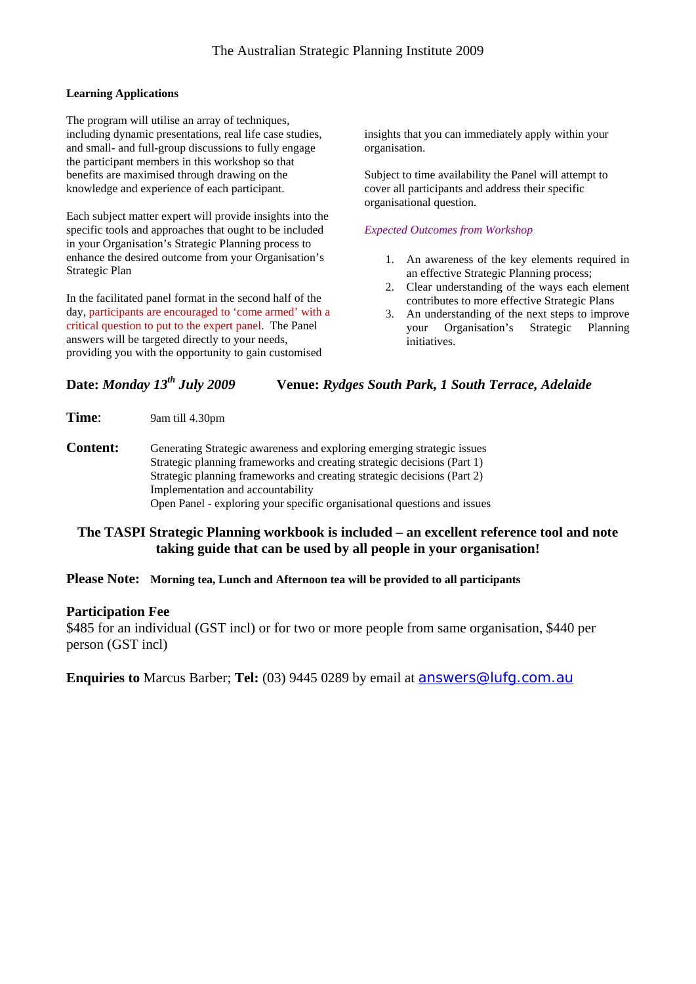#### **Learning Applications**

The program will utilise an array of techniques, including dynamic presentations, real life case studies, and small- and full-group discussions to fully engage the participant members in this workshop so that benefits are maximised through drawing on the knowledge and experience of each participant.

Each subject matter expert will provide insights into the specific tools and approaches that ought to be included in your Organisation's Strategic Planning process to enhance the desired outcome from your Organisation's Strategic Plan

In the facilitated panel format in the second half of the day, participants are encouraged to 'come armed' with a critical question to put to the expert panel. The Panel answers will be targeted directly to your needs, providing you with the opportunity to gain customised

insights that you can immediately apply within your organisation.

Subject to time availability the Panel will attempt to cover all participants and address their specific organisational question.

#### *Expected Outcomes from Workshop*

- 1. An awareness of the key elements required in an effective Strategic Planning process;
- 2. Clear understanding of the ways each element contributes to more effective Strategic Plans
- 3. An understanding of the next steps to improve your Organisation's Strategic Planning initiatives.

## **Date:** *Monday 13th July 2009* **Venue:** *Rydges South Park, 1 South Terrace, Adelaide*

**Time**: 9am till 4.30pm

**Content:** Generating Strategic awareness and exploring emerging strategic issues Strategic planning frameworks and creating strategic decisions (Part 1) Strategic planning frameworks and creating strategic decisions (Part 2) Implementation and accountability Open Panel - exploring your specific organisational questions and issues

## **The TASPI Strategic Planning workbook is included – an excellent reference tool and note taking guide that can be used by all people in your organisation!**

### **Please Note: Morning tea, Lunch and Afternoon tea will be provided to all participants**

#### **Participation Fee**

\$485 for an individual (GST incl) or for two or more people from same organisation, \$440 per person (GST incl)

**Enquiries to** Marcus Barber; **Tel:** (03) 9445 0289 by email at [answers@lufg.com.au](mailto:answers@lufg.com.au)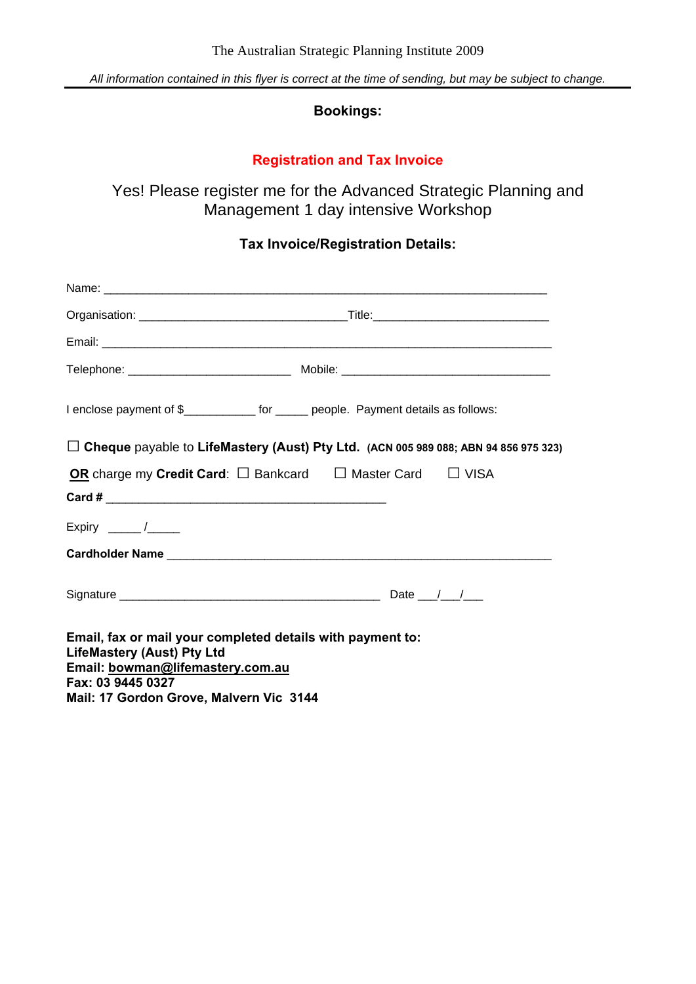*All information contained in this flyer is correct at the time of sending, but may be subject to change.* 

## **Bookings:**

# **Registration and Tax Invoice**

Yes! Please register me for the Advanced Strategic Planning and Management 1 day intensive Workshop

# **Tax Invoice/Registration Details:**

| I enclose payment of \$_____________ for ______ people. Payment details as follows:                                                                                                                 |
|-----------------------------------------------------------------------------------------------------------------------------------------------------------------------------------------------------|
| $\Box$ Cheque payable to LifeMastery (Aust) Pty Ltd. (ACN 005 989 088; ABN 94 856 975 323)                                                                                                          |
| OR charge my Credit Card: $\square$ Bankcard $\square$ Master Card $\square$ VISA                                                                                                                   |
|                                                                                                                                                                                                     |
| Expiry ______/_____                                                                                                                                                                                 |
|                                                                                                                                                                                                     |
|                                                                                                                                                                                                     |
| Email, fax or mail your completed details with payment to:<br><b>LifeMastery (Aust) Pty Ltd</b><br>Email: bowman@lifemastery.com.au<br>Fax: 03 9445 0327<br>Mail: 17 Gordon Grove, Malvern Vic 3144 |